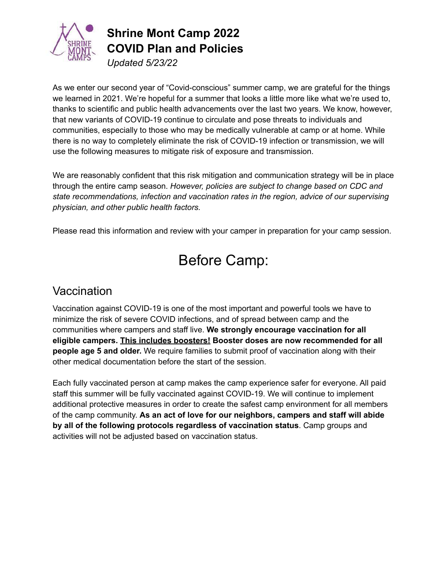

*Updated 5/23/22*

As we enter our second year of "Covid-conscious" summer camp, we are grateful for the things we learned in 2021. We're hopeful for a summer that looks a little more like what we're used to, thanks to scientific and public health advancements over the last two years. We know, however, that new variants of COVID-19 continue to circulate and pose threats to individuals and communities, especially to those who may be medically vulnerable at camp or at home. While there is no way to completely eliminate the risk of COVID-19 infection or transmission, we will use the following measures to mitigate risk of exposure and transmission.

We are reasonably confident that this risk mitigation and communication strategy will be in place through the entire camp season. *However, policies are subject to change based on CDC and state recommendations, infection and vaccination rates in the region, advice of our supervising physician, and other public health factors.*

Please read this information and review with your camper in preparation for your camp session.

# Before Camp:

### **Vaccination**

Vaccination against COVID-19 is one of the most important and powerful tools we have to minimize the risk of severe COVID infections, and of spread between camp and the communities where campers and staff live. **We strongly encourage vaccination for all eligible campers. This includes boosters! Booster doses are now recommended for all people age 5 and older.** We require families to submit proof of vaccination along with their other medical documentation before the start of the session.

Each fully vaccinated person at camp makes the camp experience safer for everyone. All paid staff this summer will be fully vaccinated against COVID-19. We will continue to implement additional protective measures in order to create the safest camp environment for all members of the camp community. **As an act of love for our neighbors, campers and staff will abide by all of the following protocols regardless of vaccination status**. Camp groups and activities will not be adjusted based on vaccination status.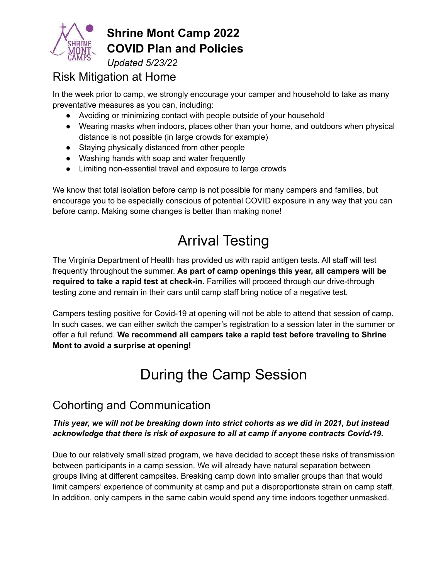

*Updated 5/23/22*

## Risk Mitigation at Home

In the week prior to camp, we strongly encourage your camper and household to take as many preventative measures as you can, including:

- Avoiding or minimizing contact with people outside of your household
- Wearing masks when indoors, places other than your home, and outdoors when physical distance is not possible (in large crowds for example)
- Staying physically distanced from other people
- Washing hands with soap and water frequently
- Limiting non-essential travel and exposure to large crowds

We know that total isolation before camp is not possible for many campers and families, but encourage you to be especially conscious of potential COVID exposure in any way that you can before camp. Making some changes is better than making none!

# Arrival Testing

The Virginia Department of Health has provided us with rapid antigen tests. All staff will test frequently throughout the summer. **As part of camp openings this year, all campers will be required to take a rapid test at check-in.** Families will proceed through our drive-through testing zone and remain in their cars until camp staff bring notice of a negative test.

Campers testing positive for Covid-19 at opening will not be able to attend that session of camp. In such cases, we can either switch the camper's registration to a session later in the summer or offer a full refund. **We recommend all campers take a rapid test before traveling to Shrine Mont to avoid a surprise at opening!**

# During the Camp Session

## Cohorting and Communication

#### *This year, we will not be breaking down into strict cohorts as we did in 2021, but instead acknowledge that there is risk of exposure to all at camp if anyone contracts Covid-19***.**

Due to our relatively small sized program, we have decided to accept these risks of transmission between participants in a camp session. We will already have natural separation between groups living at different campsites. Breaking camp down into smaller groups than that would limit campers' experience of community at camp and put a disproportionate strain on camp staff. In addition, only campers in the same cabin would spend any time indoors together unmasked.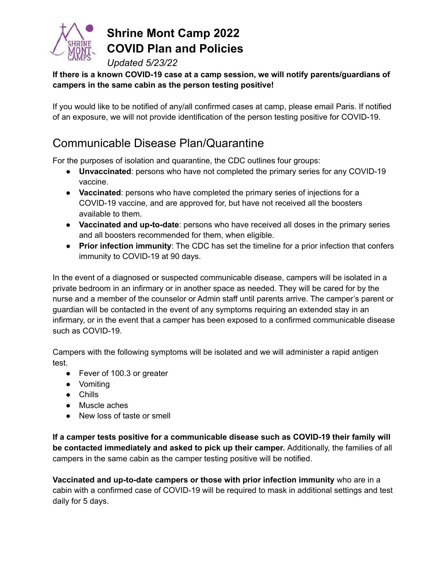

*Updated 5/23/22*

#### **If there is a known COVID-19 case at a camp session, we will notify parents/guardians of campers in the same cabin as the person testing positive!**

If you would like to be notified of any/all confirmed cases at camp, please email Paris. If notified of an exposure, we will not provide identification of the person testing positive for COVID-19.

## Communicable Disease Plan/Quarantine

For the purposes of isolation and quarantine, the CDC outlines four groups:

- **Unvaccinated**: persons who have not completed the primary series for any COVID-19 vaccine.
- **Vaccinated**: persons who have completed the primary series of injections for a COVID-19 vaccine, and are approved for, but have not received all the boosters available to them.
- **Vaccinated and up-to-date**: persons who have received all doses in the primary series and all boosters recommended for them, when eligible.
- **Prior infection immunity**: The CDC has set the timeline for a prior infection that confers immunity to COVID-19 at 90 days.

In the event of a diagnosed or suspected communicable disease, campers will be isolated in a private bedroom in an infirmary or in another space as needed. They will be cared for by the nurse and a member of the counselor or Admin staff until parents arrive. The camper's parent or guardian will be contacted in the event of any symptoms requiring an extended stay in an infirmary, or in the event that a camper has been exposed to a confirmed communicable disease such as COVID-19.

Campers with the following symptoms will be isolated and we will administer a rapid antigen test.

- Fever of 100.3 or greater
- Vomiting
- Chills
- Muscle aches
- New loss of taste or smell

**If a camper tests positive for a communicable disease such as COVID-19 their family will be contacted immediately and asked to pick up their camper.** Additionally, the families of all campers in the same cabin as the camper testing positive will be notified.

**Vaccinated and up-to-date campers or those with prior infection immunity** who are in a cabin with a confirmed case of COVID-19 will be required to mask in additional settings and test daily for 5 days.